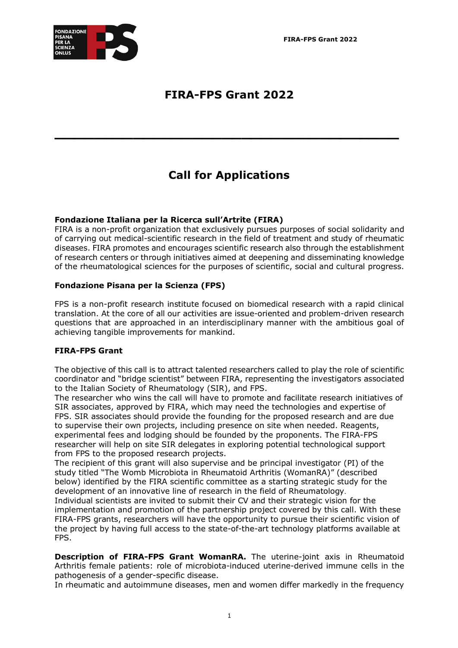**FIRA-FPS Grant 2022**



# **FIRA-FPS Grant 2022**

# **Call for Applications**

**\_\_\_\_\_\_\_\_\_\_\_\_\_\_\_\_\_\_\_\_\_\_\_\_\_\_\_\_\_\_\_\_\_\_\_**

# **Fondazione Italiana per la Ricerca sull'Artrite (FIRA)**

FIRA is a non-profit organization that exclusively pursues purposes of social solidarity and of carrying out medical-scientific research in the field of treatment and study of rheumatic diseases. FIRA promotes and encourages scientific research also through the establishment of research centers or through initiatives aimed at deepening and disseminating knowledge of the rheumatological sciences for the purposes of scientific, social and cultural progress.

# **Fondazione Pisana per la Scienza (FPS)**

FPS is a non-profit research institute focused on biomedical research with a rapid clinical translation. At the core of all our activities are issue-oriented and problem-driven research questions that are approached in an interdisciplinary manner with the ambitious goal of achieving tangible improvements for mankind.

## **FIRA-FPS Grant**

The objective of this call is to attract talented researchers called to play the role of scientific coordinator and "bridge scientist" between FIRA, representing the investigators associated to the Italian Society of Rheumatology (SIR), and FPS.

The researcher who wins the call will have to promote and facilitate research initiatives of SIR associates, approved by FIRA, which may need the technologies and expertise of FPS. SIR associates should provide the founding for the proposed research and are due to supervise their own projects, including presence on site when needed. Reagents, experimental fees and lodging should be founded by the proponents. The FIRA-FPS researcher will help on site SIR delegates in exploring potential technological support from FPS to the proposed research projects.

The recipient of this grant will also supervise and be principal investigator (PI) of the study titled "The Womb Microbiota in Rheumatoid Arthritis (WomanRA)" (described below) identified by the FIRA scientific committee as a starting strategic study for the development of an innovative line of research in the field of Rheumatology.

Individual scientists are invited to submit their CV and their strategic vision for the implementation and promotion of the partnership project covered by this call. With these FIRA-FPS grants, researchers will have the opportunity to pursue their scientific vision of the project by having full access to the state-of-the-art technology platforms available at FPS.

**Description of FIRA-FPS Grant WomanRA.** The uterine-joint axis in Rheumatoid Arthritis female patients: role of microbiota-induced uterine-derived immune cells in the pathogenesis of a gender-specific disease.

In rheumatic and autoimmune diseases, men and women differ markedly in the frequency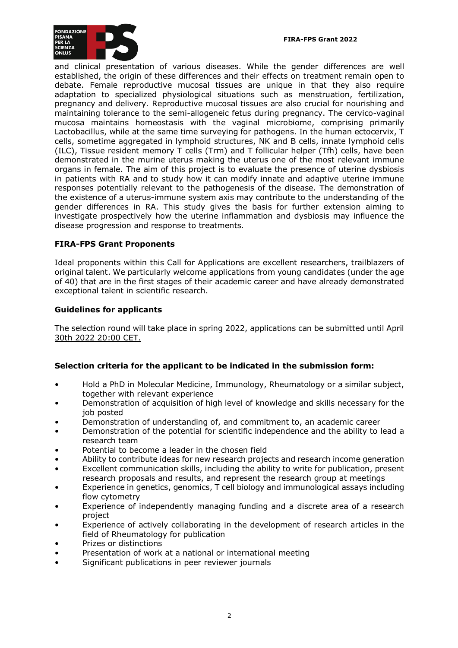

and clinical presentation of various diseases. While the gender differences are well established, the origin of these differences and their effects on treatment remain open to debate. Female reproductive mucosal tissues are unique in that they also require adaptation to specialized physiological situations such as menstruation, fertilization, pregnancy and delivery. Reproductive mucosal tissues are also crucial for nourishing and maintaining tolerance to the semi-allogeneic fetus during pregnancy. The cervico-vaginal mucosa maintains homeostasis with the vaginal microbiome, comprising primarily Lactobacillus, while at the same time surveying for pathogens. In the human ectocervix, T cells, sometime aggregated in lymphoid structures, NK and B cells, innate lymphoid cells (ILC), Tissue resident memory T cells (Trm) and T follicular helper (Tfh) cells, have been demonstrated in the murine uterus making the uterus one of the most relevant immune organs in female. The aim of this project is to evaluate the presence of uterine dysbiosis in patients with RA and to study how it can modify innate and adaptive uterine immune responses potentially relevant to the pathogenesis of the disease. The demonstration of the existence of a uterus-immune system axis may contribute to the understanding of the gender differences in RA. This study gives the basis for further extension aiming to investigate prospectively how the uterine inflammation and dysbiosis may influence the disease progression and response to treatments.

## **FIRA-FPS Grant Proponents**

Ideal proponents within this Call for Applications are excellent researchers, trailblazers of original talent. We particularly welcome applications from young candidates (under the age of 40) that are in the first stages of their academic career and have already demonstrated exceptional talent in scientific research.

## **Guidelines for applicants**

The selection round will take place in spring 2022, applications can be submitted until April 30th 2022 20:00 CET.

## **Selection criteria for the applicant to be indicated in the submission form:**

- Hold a PhD in Molecular Medicine, Immunology, Rheumatology or a similar subject, together with relevant experience
- Demonstration of acquisition of high level of knowledge and skills necessary for the job posted
- Demonstration of understanding of, and commitment to, an academic career
- Demonstration of the potential for scientific independence and the ability to lead a research team
- Potential to become a leader in the chosen field
- Ability to contribute ideas for new research projects and research income generation
- Excellent communication skills, including the ability to write for publication, present research proposals and results, and represent the research group at meetings
- Experience in genetics, genomics, T cell biology and immunological assays including flow cytometry
- Experience of independently managing funding and a discrete area of a research project
- Experience of actively collaborating in the development of research articles in the field of Rheumatology for publication
- Prizes or distinctions
- Presentation of work at a national or international meeting
- Significant publications in peer reviewer journals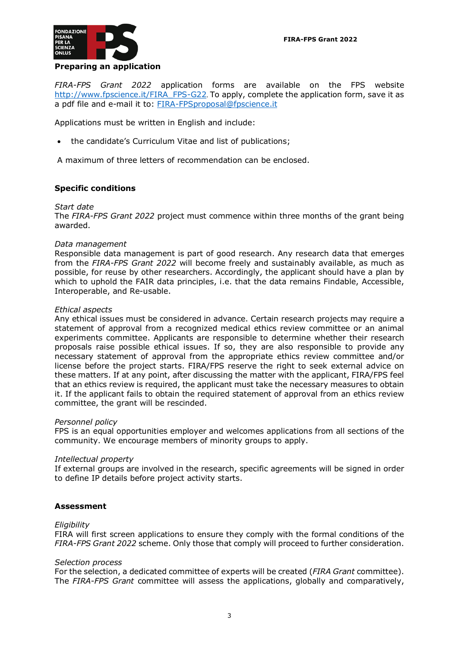

#### **Preparing an application**

*FIRA-FPS Grant 2022* application forms are available on the FPS website http://www.fpscience.it/FIRA\_FPS-G22. To apply, complete the application form, save it as a pdf file and e-mail it to: FIRA-FPSproposal@fpscience.it

Applications must be written in English and include:

• the candidate's Curriculum Vitae and list of publications;

A maximum of three letters of recommendation can be enclosed.

## **Specific conditions**

#### *Start date*

The *FIRA-FPS Grant 2022* project must commence within three months of the grant being awarded.

#### *Data management*

Responsible data management is part of good research. Any research data that emerges from the *FIRA-FPS Grant 2022* will become freely and sustainably available, as much as possible, for reuse by other researchers. Accordingly, the applicant should have a plan by which to uphold the FAIR data principles, i.e. that the data remains Findable, Accessible, Interoperable, and Re-usable.

#### *Ethical aspects*

Any ethical issues must be considered in advance. Certain research projects may require a statement of approval from a recognized medical ethics review committee or an animal experiments committee. Applicants are responsible to determine whether their research proposals raise possible ethical issues. If so, they are also responsible to provide any necessary statement of approval from the appropriate ethics review committee and/or license before the project starts. FIRA/FPS reserve the right to seek external advice on these matters. If at any point, after discussing the matter with the applicant, FIRA/FPS feel that an ethics review is required, the applicant must take the necessary measures to obtain it. If the applicant fails to obtain the required statement of approval from an ethics review committee, the grant will be rescinded.

#### *Personnel policy*

FPS is an equal opportunities employer and welcomes applications from all sections of the community. We encourage members of minority groups to apply.

## *Intellectual property*

If external groups are involved in the research, specific agreements will be signed in order to define IP details before project activity starts.

## **Assessment**

#### *Eligibility*

FIRA will first screen applications to ensure they comply with the formal conditions of the *FIRA-FPS Grant 2022* scheme. Only those that comply will proceed to further consideration.

#### *Selection process*

For the selection, a dedicated committee of experts will be created (*FIRA Grant* committee). The *FIRA-FPS Grant* committee will assess the applications, globally and comparatively,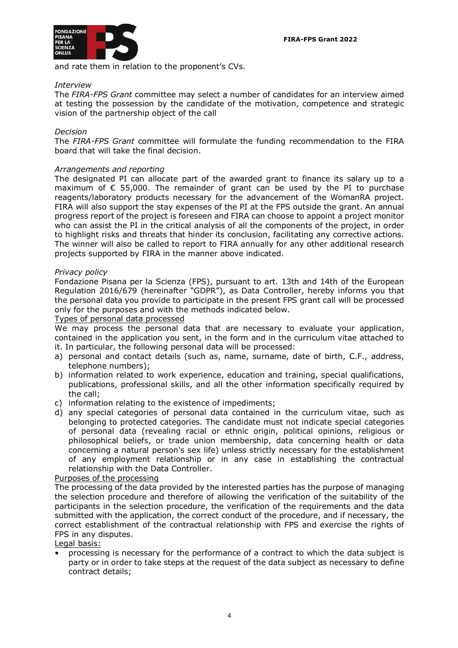

and rate them in relation to the proponent's CVs.

## *Interview*

The *FIRA-FPS Grant* committee may select a number of candidates for an interview aimed at testing the possession by the candidate of the motivation, competence and strategic vision of the partnership object of the call

### *Decision*

The *FIRA-FPS Grant* committee will formulate the funding recommendation to the FIRA board that will take the final decision.

#### *Arrangements and reporting*

The designated PI can allocate part of the awarded grant to finance its salary up to a maximum of  $\epsilon$  55,000. The remainder of grant can be used by the PI to purchase reagents/laboratory products necessary for the advancement of the WomanRA project. FIRA will also support the stay expenses of the PI at the FPS outside the grant. An annual progress report of the project is foreseen and FIRA can choose to appoint a project monitor who can assist the PI in the critical analysis of all the components of the project, in order to highlight risks and threats that hinder its conclusion, facilitating any corrective actions. The winner will also be called to report to FIRA annually for any other additional research projects supported by FIRA in the manner above indicated.

#### *Privacy policy*

Fondazione Pisana per la Scienza (FPS), pursuant to art. 13th and 14th of the European Regulation 2016/679 (hereinafter "GDPR"), as Data Controller, hereby informs you that the personal data you provide to participate in the present FPS grant call will be processed only for the purposes and with the methods indicated below.

#### Types of personal data processed

We may process the personal data that are necessary to evaluate your application, contained in the application you sent, in the form and in the curriculum vitae attached to it. In particular, the following personal data will be processed:

- a) personal and contact details (such as, name, surname, date of birth, C.F., address, telephone numbers);
- b) information related to work experience, education and training, special qualifications, publications, professional skills, and all the other information specifically required by the call;
- c) information relating to the existence of impediments;
- d) any special categories of personal data contained in the curriculum vitae, such as belonging to protected categories. The candidate must not indicate special categories of personal data (revealing racial or ethnic origin, political opinions, religious or philosophical beliefs, or trade union membership, data concerning health or data concerning a natural person's sex life) unless strictly necessary for the establishment of any employment relationship or in any case in establishing the contractual relationship with the Data Controller.

#### Purposes of the processing

The processing of the data provided by the interested parties has the purpose of managing the selection procedure and therefore of allowing the verification of the suitability of the participants in the selection procedure, the verification of the requirements and the data submitted with the application, the correct conduct of the procedure, and if necessary, the correct establishment of the contractual relationship with FPS and exercise the rights of FPS in any disputes.

Legal basis:

• processing is necessary for the performance of a contract to which the data subject is party or in order to take steps at the request of the data subject as necessary to define contract details;